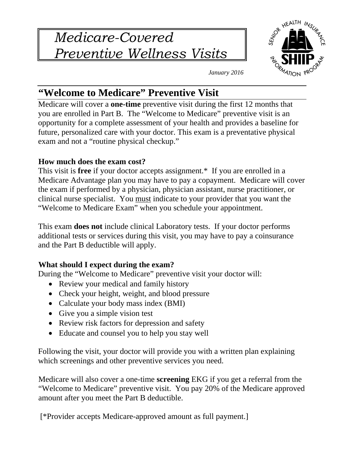*Medicare-Covered Preventive Wellness Visits* 



*January 2016* 

# **"Welcome to Medicare" Preventive Visit**

Medicare will cover a **one-time** preventive visit during the first 12 months that you are enrolled in Part B. The "Welcome to Medicare" preventive visit is an opportunity for a complete assessment of your health and provides a baseline for future, personalized care with your doctor. This exam is a preventative physical exam and not a "routine physical checkup."

### **How much does the exam cost?**

This visit is **free** if your doctor accepts assignment.\* If you are enrolled in a Medicare Advantage plan you may have to pay a copayment. Medicare will cover the exam if performed by a physician, physician assistant, nurse practitioner, or clinical nurse specialist. You must indicate to your provider that you want the "Welcome to Medicare Exam" when you schedule your appointment.

This exam **does not** include clinical Laboratory tests. If your doctor performs additional tests or services during this visit, you may have to pay a coinsurance and the Part B deductible will apply.

## **What should I expect during the exam?**

During the "Welcome to Medicare" preventive visit your doctor will:

- Review your medical and family history
- Check your height, weight, and blood pressure
- Calculate your body mass index (BMI)
- Give you a simple vision test
- Review risk factors for depression and safety
- Educate and counsel you to help you stay well

Following the visit, your doctor will provide you with a written plan explaining which screenings and other preventive services you need.

Medicare will also cover a one-time **screening** EKG if you get a referral from the "Welcome to Medicare" preventive visit. You pay 20% of the Medicare approved amount after you meet the Part B deductible.

[\*Provider accepts Medicare-approved amount as full payment.]